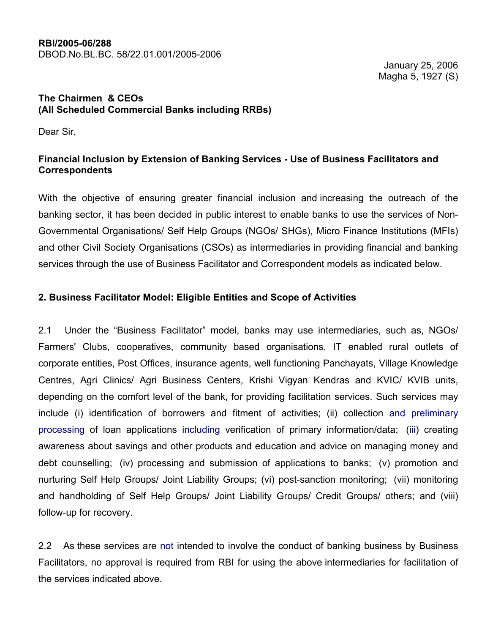#### RBI/2005-06/288 DBOD.No.BL.BC. 58/22.01.001/2005-2006

 January 25, 2006 Magha 5, 1927 (S)

### The Chairmen & CEOs (All Scheduled Commercial Banks including RRBs)

Dear Sir,

## Financial Inclusion by Extension of Banking Services - Use of Business Facilitators and Correspondents

With the objective of ensuring greater financial inclusion and increasing the outreach of the banking sector, it has been decided in public interest to enable banks to use the services of Non-Governmental Organisations/ Self Help Groups (NGOs/ SHGs), Micro Finance Institutions (MFIs) and other Civil Society Organisations (CSOs) as intermediaries in providing financial and banking services through the use of Business Facilitator and Correspondent models as indicated below.

## 2. Business Facilitator Model: Eligible Entities and Scope of Activities

2.1 Under the "Business Facilitator" model, banks may use intermediaries, such as, NGOs/ Farmers' Clubs, cooperatives, community based organisations, IT enabled rural outlets of corporate entities, Post Offices, insurance agents, well functioning Panchayats, Village Knowledge Centres, Agri Clinics/ Agri Business Centers, Krishi Vigyan Kendras and KVIC/ KVIB units, depending on the comfort level of the bank, for providing facilitation services. Such services may include (i) identification of borrowers and fitment of activities; (ii) collection and preliminary processing of loan applications including verification of primary information/data; (iii) creating awareness about savings and other products and education and advice on managing money and debt counselling; (iv) processing and submission of applications to banks; (v) promotion and nurturing Self Help Groups/ Joint Liability Groups; (vi) post-sanction monitoring; (vii) monitoring and handholding of Self Help Groups/ Joint Liability Groups/ Credit Groups/ others; and (viii) follow-up for recovery.

2.2 As these services are not intended to involve the conduct of banking business by Business Facilitators, no approval is required from RBI for using the above intermediaries for facilitation of the services indicated above.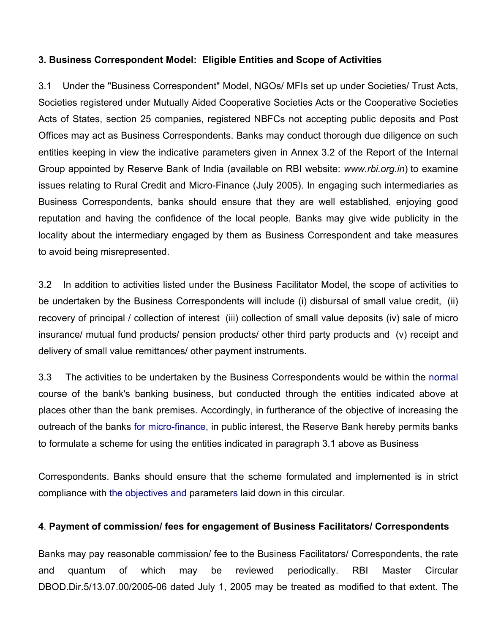### 3. Business Correspondent Model: Eligible Entities and Scope of Activities

3.1 Under the "Business Correspondent" Model, NGOs/ MFIs set up under Societies/ Trust Acts, Societies registered under Mutually Aided Cooperative Societies Acts or the Cooperative Societies Acts of States, section 25 companies, registered NBFCs not accepting public deposits and Post Offices may act as Business Correspondents. Banks may conduct thorough due diligence on such entities keeping in view the indicative parameters given in Annex 3.2 of the Report of the Internal Group appointed by Reserve Bank of India (available on RBI website: www.rbi.org.in) to examine issues relating to Rural Credit and Micro-Finance (July 2005). In engaging such intermediaries as Business Correspondents, banks should ensure that they are well established, enjoying good reputation and having the confidence of the local people. Banks may give wide publicity in the locality about the intermediary engaged by them as Business Correspondent and take measures to avoid being misrepresented.

3.2 In addition to activities listed under the Business Facilitator Model, the scope of activities to be undertaken by the Business Correspondents will include (i) disbursal of small value credit, (ii) recovery of principal / collection of interest (iii) collection of small value deposits (iv) sale of micro insurance/ mutual fund products/ pension products/ other third party products and (v) receipt and delivery of small value remittances/ other payment instruments.

3.3 The activities to be undertaken by the Business Correspondents would be within the normal course of the bank's banking business, but conducted through the entities indicated above at places other than the bank premises. Accordingly, in furtherance of the objective of increasing the outreach of the banks for micro-finance, in public interest, the Reserve Bank hereby permits banks to formulate a scheme for using the entities indicated in paragraph 3.1 above as Business

Correspondents. Banks should ensure that the scheme formulated and implemented is in strict compliance with the objectives and parameters laid down in this circular.

#### 4. Payment of commission/ fees for engagement of Business Facilitators/ Correspondents

Banks may pay reasonable commission/ fee to the Business Facilitators/ Correspondents, the rate and quantum of which may be reviewed periodically. RBI Master Circular DBOD.Dir.5/13.07.00/2005-06 dated July 1, 2005 may be treated as modified to that extent. The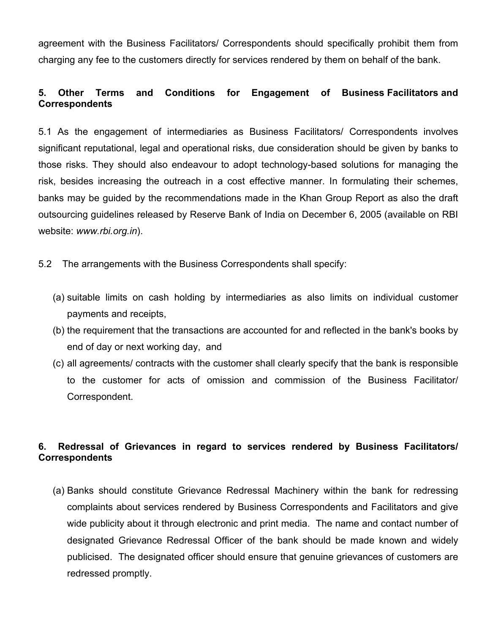agreement with the Business Facilitators/ Correspondents should specifically prohibit them from charging any fee to the customers directly for services rendered by them on behalf of the bank.

# 5. Other Terms and Conditions for Engagement of Business Facilitators and Correspondents

5.1 As the engagement of intermediaries as Business Facilitators/ Correspondents involves significant reputational, legal and operational risks, due consideration should be given by banks to those risks. They should also endeavour to adopt technology-based solutions for managing the risk, besides increasing the outreach in a cost effective manner. In formulating their schemes, banks may be guided by the recommendations made in the Khan Group Report as also the draft outsourcing guidelines released by Reserve Bank of India on December 6, 2005 (available on RBI website: www.rbi.org.in).

5.2 The arrangements with the Business Correspondents shall specify:

- (a) suitable limits on cash holding by intermediaries as also limits on individual customer payments and receipts,
- (b) the requirement that the transactions are accounted for and reflected in the bank's books by end of day or next working day, and
- (c) all agreements/ contracts with the customer shall clearly specify that the bank is responsible to the customer for acts of omission and commission of the Business Facilitator/ Correspondent.

# 6. Redressal of Grievances in regard to services rendered by Business Facilitators/ **Correspondents**

(a) Banks should constitute Grievance Redressal Machinery within the bank for redressing complaints about services rendered by Business Correspondents and Facilitators and give wide publicity about it through electronic and print media. The name and contact number of designated Grievance Redressal Officer of the bank should be made known and widely publicised. The designated officer should ensure that genuine grievances of customers are redressed promptly.